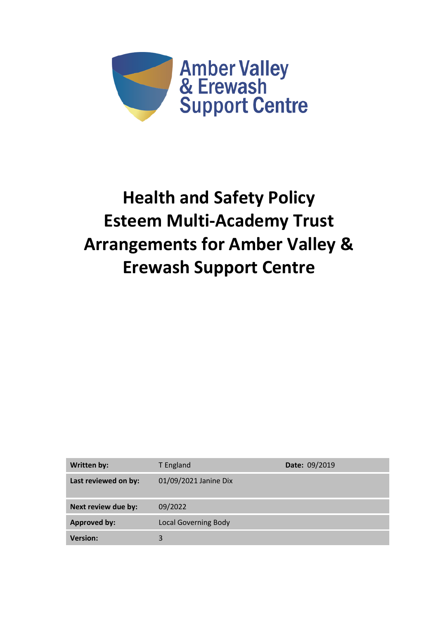

# **Health and Safety Policy Esteem Multi-Academy Trust Arrangements for Amber Valley & Erewash Support Centre**

| <b>Written by:</b>   | T England                   | Date: 09/2019 |
|----------------------|-----------------------------|---------------|
| Last reviewed on by: | 01/09/2021 Janine Dix       |               |
| Next review due by:  | 09/2022                     |               |
| <b>Approved by:</b>  | <b>Local Governing Body</b> |               |
| <b>Version:</b>      | 3                           |               |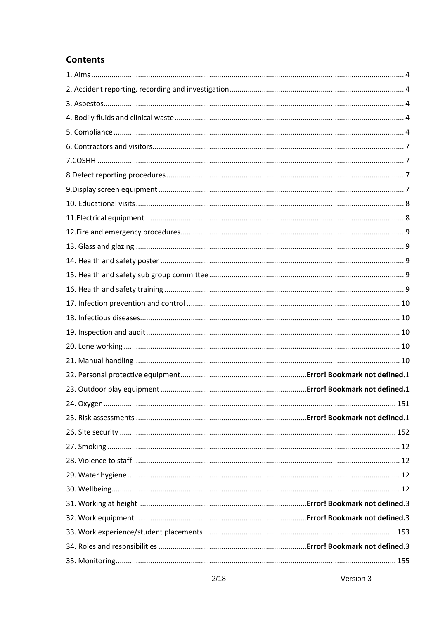# **Contents**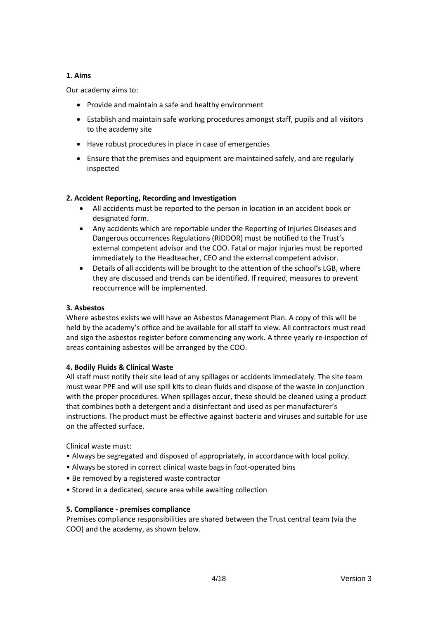#### **1. Aims**

Our academy aims to:

- Provide and maintain a safe and healthy environment
- Establish and maintain safe working procedures amongst staff, pupils and all visitors to the academy site
- Have robust procedures in place in case of emergencies
- Ensure that the premises and equipment are maintained safely, and are regularly inspected

# **2. Accident Reporting, Recording and Investigation**

- All accidents must be reported to the person in location in an accident book or designated form.
- Any accidents which are reportable under the Reporting of Injuries Diseases and Dangerous occurrences Regulations (RIDDOR) must be notified to the Trust's external competent advisor and the COO. Fatal or major injuries must be reported immediately to the Headteacher, CEO and the external competent advisor.
- Details of all accidents will be brought to the attention of the school's LGB, where they are discussed and trends can be identified. If required, measures to prevent reoccurrence will be implemented.

# **3. Asbestos**

Where asbestos exists we will have an Asbestos Management Plan. A copy of this will be held by the academy's office and be available for all staff to view. All contractors must read and sign the asbestos register before commencing any work. A three yearly re-inspection of areas containing asbestos will be arranged by the COO.

# **4. Bodily Fluids & Clinical Waste**

All staff must notify their site lead of any spillages or accidents immediately. The site team must wear PPE and will use spill kits to clean fluids and dispose of the waste in conjunction with the proper procedures. When spillages occur, these should be cleaned using a product that combines both a detergent and a disinfectant and used as per manufacturer's instructions. The product must be effective against bacteria and viruses and suitable for use on the affected surface.

Clinical waste must:

- Always be segregated and disposed of appropriately, in accordance with local policy.
- Always be stored in correct clinical waste bags in foot-operated bins
- Be removed by a registered waste contractor
- Stored in a dedicated, secure area while awaiting collection

# **5. Compliance - premises compliance**

Premises compliance responsibilities are shared between the Trust central team (via the COO) and the academy, as shown below.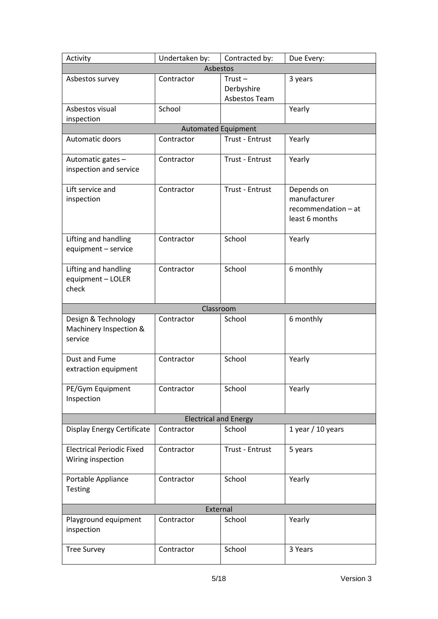| Activity                                                 | Undertaken by:             | Contracted by:                           | Due Every:                                                          |
|----------------------------------------------------------|----------------------------|------------------------------------------|---------------------------------------------------------------------|
| Asbestos                                                 |                            |                                          |                                                                     |
| Asbestos survey                                          | Contractor                 | $Trust -$<br>Derbyshire<br>Asbestos Team | 3 years                                                             |
| Asbestos visual<br>inspection                            | School                     |                                          | Yearly                                                              |
|                                                          | <b>Automated Equipment</b> |                                          |                                                                     |
| Automatic doors                                          | Contractor                 | <b>Trust - Entrust</b>                   | Yearly                                                              |
| Automatic gates -<br>inspection and service              | Contractor                 | Trust - Entrust                          | Yearly                                                              |
| Lift service and<br>inspection                           | Contractor                 | <b>Trust - Entrust</b>                   | Depends on<br>manufacturer<br>recommendation - at<br>least 6 months |
| Lifting and handling<br>equipment - service              | Contractor                 | School                                   | Yearly                                                              |
| Lifting and handling<br>equipment - LOLER<br>check       | Contractor                 | School                                   | 6 monthly                                                           |
|                                                          | Classroom                  |                                          |                                                                     |
| Design & Technology<br>Machinery Inspection &<br>service | Contractor                 | School                                   | 6 monthly                                                           |
| Dust and Fume<br>extraction equipment                    | Contractor                 | School                                   | Yearly                                                              |
| PE/Gym Equipment<br>Inspection                           | Contractor                 | School                                   | Yearly                                                              |
| <b>Electrical and Energy</b>                             |                            |                                          |                                                                     |
| <b>Display Energy Certificate</b>                        | Contractor                 | School                                   | 1 year / 10 years                                                   |
| <b>Electrical Periodic Fixed</b><br>Wiring inspection    | Contractor                 | Trust - Entrust                          | 5 years                                                             |
| Portable Appliance<br><b>Testing</b>                     | Contractor                 | School                                   | Yearly                                                              |
| External                                                 |                            |                                          |                                                                     |
| Playground equipment<br>inspection                       | Contractor                 | School                                   | Yearly                                                              |
| <b>Tree Survey</b>                                       | Contractor                 | School                                   | 3 Years                                                             |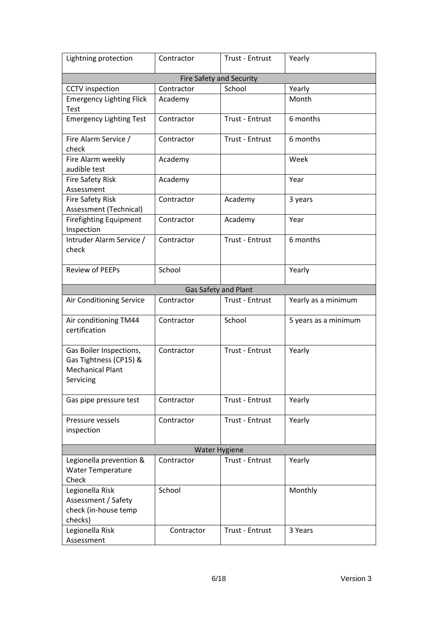| Lightning protection                                                                      | Contractor                      | Trust - Entrust | Yearly               |
|-------------------------------------------------------------------------------------------|---------------------------------|-----------------|----------------------|
|                                                                                           | <b>Fire Safety and Security</b> |                 |                      |
| <b>CCTV</b> inspection                                                                    | Contractor                      | School          | Yearly               |
| <b>Emergency Lighting Flick</b><br>Test                                                   | Academy                         |                 | Month                |
| <b>Emergency Lighting Test</b>                                                            | Contractor                      | Trust - Entrust | 6 months             |
| Fire Alarm Service /<br>check                                                             | Contractor                      | Trust - Entrust | 6 months             |
| Fire Alarm weekly<br>audible test                                                         | Academy                         |                 | Week                 |
| <b>Fire Safety Risk</b><br>Assessment                                                     | Academy                         |                 | Year                 |
| <b>Fire Safety Risk</b><br>Assessment (Technical)                                         | Contractor                      | Academy         | 3 years              |
| <b>Firefighting Equipment</b><br>Inspection                                               | Contractor                      | Academy         | Year                 |
| Intruder Alarm Service /<br>check                                                         | Contractor                      | Trust - Entrust | 6 months             |
| <b>Review of PEEPs</b>                                                                    | School                          |                 | Yearly               |
|                                                                                           | Gas Safety and Plant            |                 |                      |
| Air Conditioning Service                                                                  | Contractor                      | Trust - Entrust | Yearly as a minimum  |
| Air conditioning TM44<br>certification                                                    | Contractor                      | School          | 5 years as a minimum |
| Gas Boiler Inspections,<br>Gas Tightness (CP15) &<br><b>Mechanical Plant</b><br>Servicing | Contractor                      | Trust - Entrust | Yearly               |
| Gas pipe pressure test                                                                    | Contractor                      | Trust - Entrust | Yearly               |
| Pressure vessels<br>inspection                                                            | Contractor                      | Trust - Entrust | Yearly               |
| <b>Water Hygiene</b>                                                                      |                                 |                 |                      |
| Legionella prevention &<br><b>Water Temperature</b><br>Check                              | Contractor                      | Trust - Entrust | Yearly               |
| Legionella Risk<br>Assessment / Safety<br>check (in-house temp<br>checks)                 | School                          |                 | Monthly              |
| Legionella Risk<br>Assessment                                                             | Contractor                      | Trust - Entrust | 3 Years              |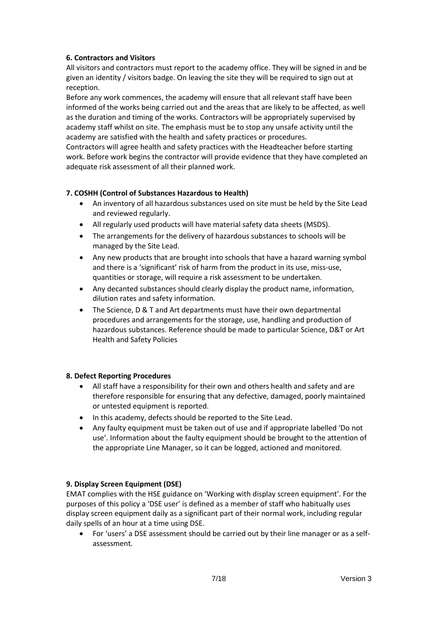# **6. Contractors and Visitors**

All visitors and contractors must report to the academy office. They will be signed in and be given an identity / visitors badge. On leaving the site they will be required to sign out at reception.

Before any work commences, the academy will ensure that all relevant staff have been informed of the works being carried out and the areas that are likely to be affected, as well as the duration and timing of the works. Contractors will be appropriately supervised by academy staff whilst on site. The emphasis must be to stop any unsafe activity until the academy are satisfied with the health and safety practices or procedures.

Contractors will agree health and safety practices with the Headteacher before starting work. Before work begins the contractor will provide evidence that they have completed an adequate risk assessment of all their planned work.

# **7. COSHH (Control of Substances Hazardous to Health)**

- An inventory of all hazardous substances used on site must be held by the Site Lead and reviewed regularly.
- All regularly used products will have material safety data sheets (MSDS).
- The arrangements for the delivery of hazardous substances to schools will be managed by the Site Lead.
- Any new products that are brought into schools that have a hazard warning symbol and there is a 'significant' risk of harm from the product in its use, miss-use, quantities or storage, will require a risk assessment to be undertaken.
- Any decanted substances should clearly display the product name, information, dilution rates and safety information.
- The Science, D & T and Art departments must have their own departmental procedures and arrangements for the storage, use, handling and production of hazardous substances. Reference should be made to particular Science, D&T or Art Health and Safety Policies

#### **8. Defect Reporting Procedures**

- All staff have a responsibility for their own and others health and safety and are therefore responsible for ensuring that any defective, damaged, poorly maintained or untested equipment is reported.
- In this academy, defects should be reported to the Site Lead.
- Any faulty equipment must be taken out of use and if appropriate labelled 'Do not use'. Information about the faulty equipment should be brought to the attention of the appropriate Line Manager, so it can be logged, actioned and monitored.

#### **9. Display Screen Equipment (DSE)**

EMAT complies with the HSE guidance on 'Working with display screen equipment'. For the purposes of this policy a 'DSE user' is defined as a member of staff who habitually uses display screen equipment daily as a significant part of their normal work, including regular daily spells of an hour at a time using DSE.

• For 'users' a DSE assessment should be carried out by their line manager or as a selfassessment.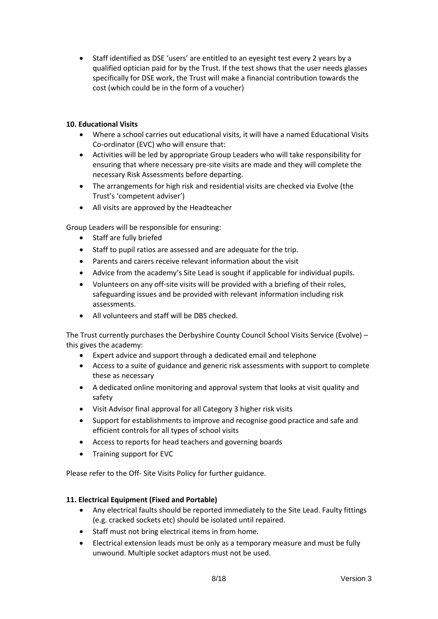• Staff identified as DSE 'users' are entitled to an eyesight test every 2 years by a qualified optician paid for by the Trust. If the test shows that the user needs glasses specifically for DSE work, the Trust will make a financial contribution towards the cost (which could be in the form of a voucher)

# **10. Educational Visits**

- Where a school carries out educational visits, it will have a named Educational Visits Co-ordinator (EVC) who will ensure that:
- Activities will be led by appropriate Group Leaders who will take responsibility for ensuring that where necessary pre-site visits are made and they will complete the necessary Risk Assessments before departing.
- The arrangements for high risk and residential visits are checked via Evolve (the Trust's 'competent adviser')
- All visits are approved by the Headteacher

Group Leaders will be responsible for ensuring:

- Staff are fully briefed
- Staff to pupil ratios are assessed and are adequate for the trip.
- Parents and carers receive relevant information about the visit
- Advice from the academy's Site Lead is sought if applicable for individual pupils.
- Volunteers on any off-site visits will be provided with a briefing of their roles, safeguarding issues and be provided with relevant information including risk assessments.
- All volunteers and staff will be DBS checked.

The Trust currently purchases the Derbyshire County Council School Visits Service (Evolve) – this gives the academy:

- Expert advice and support through a dedicated email and telephone
- Access to a suite of guidance and generic risk assessments with support to complete these as necessary
- A dedicated online monitoring and approval system that looks at visit quality and safety
- Visit Advisor final approval for all Category 3 higher risk visits
- Support for establishments to improve and recognise good practice and safe and efficient controls for all types of school visits
- Access to reports for head teachers and governing boards
- Training support for EVC

Please refer to the Off- Site Visits Policy for further guidance.

#### **11. Electrical Equipment (Fixed and Portable)**

- Any electrical faults should be reported immediately to the Site Lead. Faulty fittings (e.g. cracked sockets etc) should be isolated until repaired.
- Staff must not bring electrical items in from home.
- Electrical extension leads must be only as a temporary measure and must be fully unwound. Multiple socket adaptors must not be used.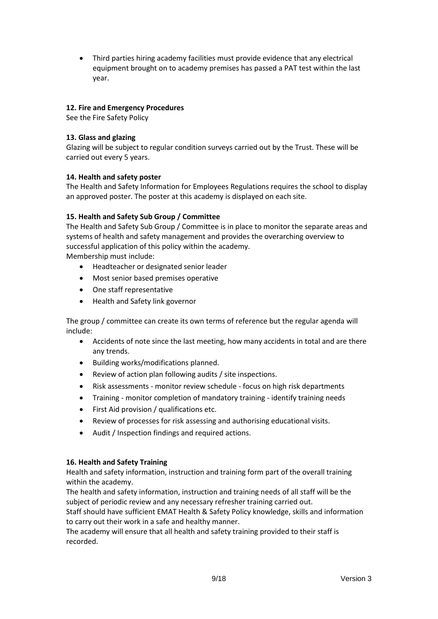• Third parties hiring academy facilities must provide evidence that any electrical equipment brought on to academy premises has passed a PAT test within the last year.

# **12. Fire and Emergency Procedures**

See the Fire Safety Policy

#### **13. Glass and glazing**

Glazing will be subject to regular condition surveys carried out by the Trust. These will be carried out every 5 years.

#### **14. Health and safety poster**

The Health and Safety Information for Employees Regulations requires the school to display an approved poster. The poster at this academy is displayed on each site.

#### **15. Health and Safety Sub Group / Committee**

The Health and Safety Sub Group / Committee is in place to monitor the separate areas and systems of health and safety management and provides the overarching overview to successful application of this policy within the academy. Membership must include:

- Headteacher or designated senior leader
- Most senior based premises operative
- One staff representative
- Health and Safety link governor

The group / committee can create its own terms of reference but the regular agenda will include:

- Accidents of note since the last meeting, how many accidents in total and are there any trends.
- Building works/modifications planned.
- Review of action plan following audits / site inspections.
- Risk assessments monitor review schedule focus on high risk departments
- Training monitor completion of mandatory training identify training needs
- First Aid provision / qualifications etc.
- Review of processes for risk assessing and authorising educational visits.
- Audit / Inspection findings and required actions.

#### **16. Health and Safety Training**

Health and safety information, instruction and training form part of the overall training within the academy.

The health and safety information, instruction and training needs of all staff will be the subject of periodic review and any necessary refresher training carried out.

Staff should have sufficient EMAT Health & Safety Policy knowledge, skills and information to carry out their work in a safe and healthy manner.

The academy will ensure that all health and safety training provided to their staff is recorded.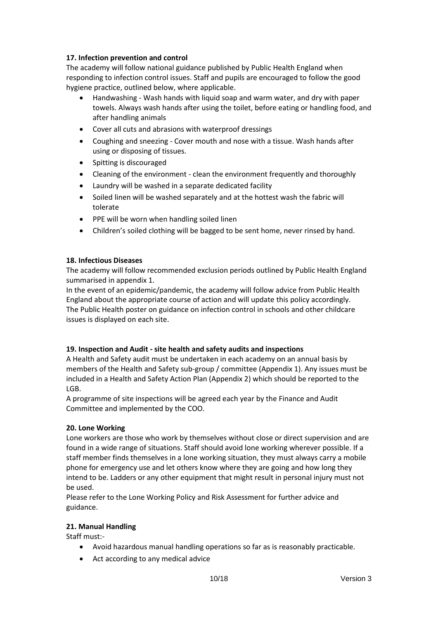# **17. Infection prevention and control**

The academy will follow national guidance published by Public Health England when responding to infection control issues. Staff and pupils are encouraged to follow the good hygiene practice, outlined below, where applicable.

- Handwashing Wash hands with liquid soap and warm water, and dry with paper towels. Always wash hands after using the toilet, before eating or handling food, and after handling animals
- Cover all cuts and abrasions with waterproof dressings
- Coughing and sneezing Cover mouth and nose with a tissue. Wash hands after using or disposing of tissues.
- Spitting is discouraged
- Cleaning of the environment clean the environment frequently and thoroughly
- Laundry will be washed in a separate dedicated facility
- Soiled linen will be washed separately and at the hottest wash the fabric will tolerate
- PPE will be worn when handling soiled linen
- Children's soiled clothing will be bagged to be sent home, never rinsed by hand.

#### **18. Infectious Diseases**

The academy will follow recommended exclusion periods outlined by Public Health England summarised in appendix 1.

In the event of an epidemic/pandemic, the academy will follow advice from Public Health England about the appropriate course of action and will update this policy accordingly. The Public Health poster on guidance on infection control in schools and other childcare issues is displayed on each site.

#### **19. Inspection and Audit - site health and safety audits and inspections**

A Health and Safety audit must be undertaken in each academy on an annual basis by members of the Health and Safety sub-group / committee (Appendix 1). Any issues must be included in a Health and Safety Action Plan (Appendix 2) which should be reported to the LGB.

A programme of site inspections will be agreed each year by the Finance and Audit Committee and implemented by the COO.

#### **20. Lone Working**

Lone workers are those who work by themselves without close or direct supervision and are found in a wide range of situations. Staff should avoid lone working wherever possible. If a staff member finds themselves in a lone working situation, they must always carry a mobile phone for emergency use and let others know where they are going and how long they intend to be. Ladders or any other equipment that might result in personal injury must not be used.

Please refer to the Lone Working Policy and Risk Assessment for further advice and guidance.

#### **21. Manual Handling**

Staff must:-

- Avoid hazardous manual handling operations so far as is reasonably practicable.
- Act according to any medical advice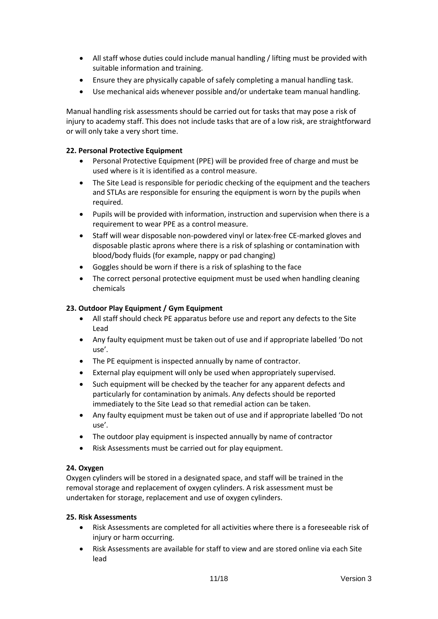- All staff whose duties could include manual handling / lifting must be provided with suitable information and training.
- Ensure they are physically capable of safely completing a manual handling task.
- Use mechanical aids whenever possible and/or undertake team manual handling.

Manual handling risk assessments should be carried out for tasks that may pose a risk of injury to academy staff. This does not include tasks that are of a low risk, are straightforward or will only take a very short time.

# **22. Personal Protective Equipment**

- Personal Protective Equipment (PPE) will be provided free of charge and must be used where is it is identified as a control measure.
- The Site Lead is responsible for periodic checking of the equipment and the teachers and STLAs are responsible for ensuring the equipment is worn by the pupils when required.
- Pupils will be provided with information, instruction and supervision when there is a requirement to wear PPE as a control measure.
- Staff will wear disposable non-powdered vinyl or latex-free CE-marked gloves and disposable plastic aprons where there is a risk of splashing or contamination with blood/body fluids (for example, nappy or pad changing)
- Goggles should be worn if there is a risk of splashing to the face
- The correct personal protective equipment must be used when handling cleaning chemicals

# **23. Outdoor Play Equipment / Gym Equipment**

- All staff should check PE apparatus before use and report any defects to the Site Lead
- Any faulty equipment must be taken out of use and if appropriate labelled 'Do not use'.
- The PE equipment is inspected annually by name of contractor.
- External play equipment will only be used when appropriately supervised.
- Such equipment will be checked by the teacher for any apparent defects and particularly for contamination by animals. Any defects should be reported immediately to the Site Lead so that remedial action can be taken.
- Any faulty equipment must be taken out of use and if appropriate labelled 'Do not use'.
- The outdoor play equipment is inspected annually by name of contractor
- Risk Assessments must be carried out for play equipment.

# **24. Oxygen**

Oxygen cylinders will be stored in a designated space, and staff will be trained in the removal storage and replacement of oxygen cylinders. A risk assessment must be undertaken for storage, replacement and use of oxygen cylinders.

# **25. Risk Assessments**

- Risk Assessments are completed for all activities where there is a foreseeable risk of injury or harm occurring.
- Risk Assessments are available for staff to view and are stored online via each Site lead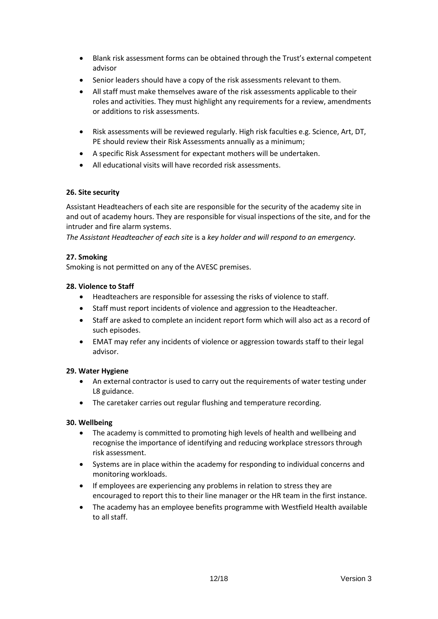- Blank risk assessment forms can be obtained through the Trust's external competent advisor
- Senior leaders should have a copy of the risk assessments relevant to them.
- All staff must make themselves aware of the risk assessments applicable to their roles and activities. They must highlight any requirements for a review, amendments or additions to risk assessments.
- Risk assessments will be reviewed regularly. High risk faculties e.g. Science, Art, DT, PE should review their Risk Assessments annually as a minimum;
- A specific Risk Assessment for expectant mothers will be undertaken.
- All educational visits will have recorded risk assessments.

# **26. Site security**

Assistant Headteachers of each site are responsible for the security of the academy site in and out of academy hours. They are responsible for visual inspections of the site, and for the intruder and fire alarm systems.

*The Assistant Headteacher of each site* is a *key holder and will respond to an emergency.*

#### **27. Smoking**

Smoking is not permitted on any of the AVESC premises.

#### **28. Violence to Staff**

- Headteachers are responsible for assessing the risks of violence to staff.
- Staff must report incidents of violence and aggression to the Headteacher.
- Staff are asked to complete an incident report form which will also act as a record of such episodes.
- EMAT may refer any incidents of violence or aggression towards staff to their legal advisor.

# **29. Water Hygiene**

- An external contractor is used to carry out the requirements of water testing under L8 guidance.
- The caretaker carries out regular flushing and temperature recording.

# **30. Wellbeing**

- The academy is committed to promoting high levels of health and wellbeing and recognise the importance of identifying and reducing workplace stressors through risk assessment.
- Systems are in place within the academy for responding to individual concerns and monitoring workloads.
- If employees are experiencing any problems in relation to stress they are encouraged to report this to their line manager or the HR team in the first instance.
- The academy has an employee benefits programme with Westfield Health available to all staff.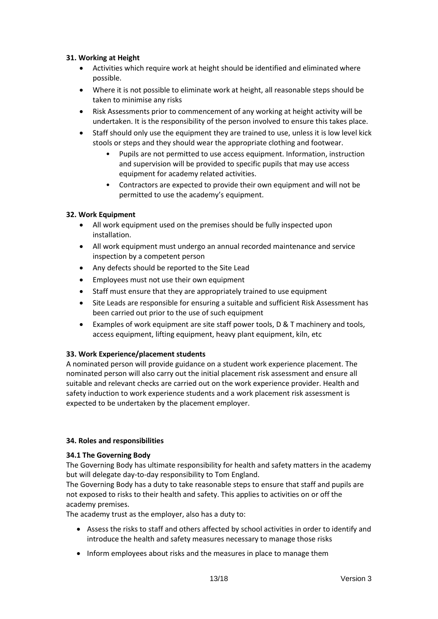# **31. Working at Height**

- Activities which require work at height should be identified and eliminated where possible.
- Where it is not possible to eliminate work at height, all reasonable steps should be taken to minimise any risks
- Risk Assessments prior to commencement of any working at height activity will be undertaken. It is the responsibility of the person involved to ensure this takes place.
- Staff should only use the equipment they are trained to use, unless it is low level kick stools or steps and they should wear the appropriate clothing and footwear.
	- Pupils are not permitted to use access equipment. Information, instruction and supervision will be provided to specific pupils that may use access equipment for academy related activities.
	- Contractors are expected to provide their own equipment and will not be permitted to use the academy's equipment.

#### **32. Work Equipment**

- All work equipment used on the premises should be fully inspected upon installation.
- All work equipment must undergo an annual recorded maintenance and service inspection by a competent person
- Any defects should be reported to the Site Lead
- Employees must not use their own equipment
- Staff must ensure that they are appropriately trained to use equipment
- Site Leads are responsible for ensuring a suitable and sufficient Risk Assessment has been carried out prior to the use of such equipment
- Examples of work equipment are site staff power tools, D & T machinery and tools, access equipment, lifting equipment, heavy plant equipment, kiln, etc

# **33. Work Experience/placement students**

A nominated person will provide guidance on a student work experience placement. The nominated person will also carry out the initial placement risk assessment and ensure all suitable and relevant checks are carried out on the work experience provider. Health and safety induction to work experience students and a work placement risk assessment is expected to be undertaken by the placement employer.

#### **34. Roles and responsibilities**

#### **34.1 The Governing Body**

The Governing Body has ultimate responsibility for health and safety matters in the academy but will delegate day-to-day responsibility to Tom England.

The Governing Body has a duty to take reasonable steps to ensure that staff and pupils are not exposed to risks to their health and safety. This applies to activities on or off the academy premises.

The academy trust as the employer, also has a duty to:

- Assess the risks to staff and others affected by school activities in order to identify and introduce the health and safety measures necessary to manage those risks
- Inform employees about risks and the measures in place to manage them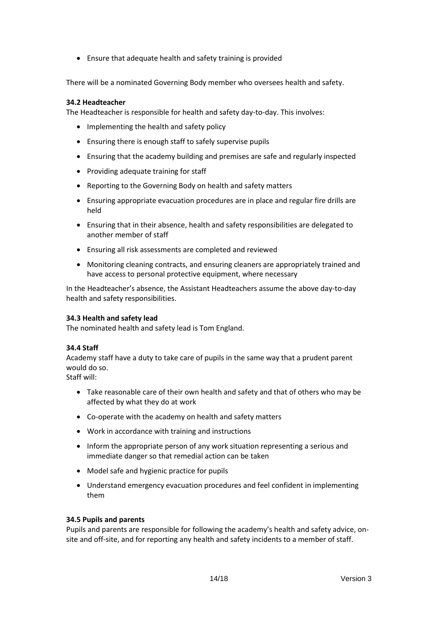• Ensure that adequate health and safety training is provided

There will be a nominated Governing Body member who oversees health and safety.

#### **34.2 Headteacher**

The Headteacher is responsible for health and safety day-to-day. This involves:

- Implementing the health and safety policy
- Ensuring there is enough staff to safely supervise pupils
- Ensuring that the academy building and premises are safe and regularly inspected
- Providing adequate training for staff
- Reporting to the Governing Body on health and safety matters
- Ensuring appropriate evacuation procedures are in place and regular fire drills are held
- Ensuring that in their absence, health and safety responsibilities are delegated to another member of staff
- Ensuring all risk assessments are completed and reviewed
- Monitoring cleaning contracts, and ensuring cleaners are appropriately trained and have access to personal protective equipment, where necessary

In the Headteacher's absence, the Assistant Headteachers assume the above day-to-day health and safety responsibilities.

#### **34.3 Health and safety lead**

The nominated health and safety lead is Tom England.

#### **34.4 Staff**

Academy staff have a duty to take care of pupils in the same way that a prudent parent would do so.

Staff will:

- Take reasonable care of their own health and safety and that of others who may be affected by what they do at work
- Co-operate with the academy on health and safety matters
- Work in accordance with training and instructions
- Inform the appropriate person of any work situation representing a serious and immediate danger so that remedial action can be taken
- Model safe and hygienic practice for pupils
- Understand emergency evacuation procedures and feel confident in implementing them

#### **34.5 Pupils and parents**

Pupils and parents are responsible for following the academy's health and safety advice, onsite and off-site, and for reporting any health and safety incidents to a member of staff.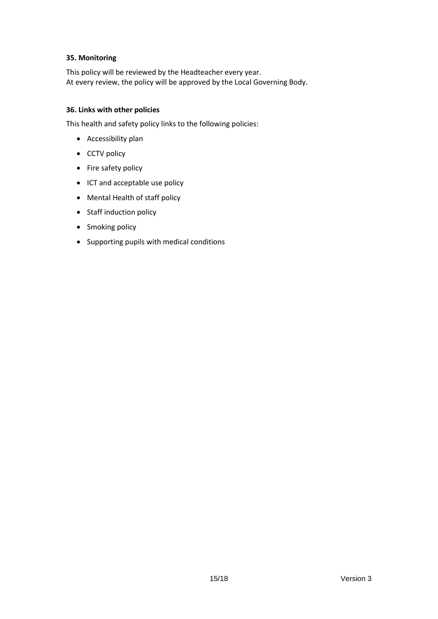#### **35. Monitoring**

This policy will be reviewed by the Headteacher every year. At every review, the policy will be approved by the Local Governing Body.

# **36. Links with other policies**

This health and safety policy links to the following policies:

- Accessibility plan
- CCTV policy
- Fire safety policy
- ICT and acceptable use policy
- Mental Health of staff policy
- Staff induction policy
- Smoking policy
- Supporting pupils with medical conditions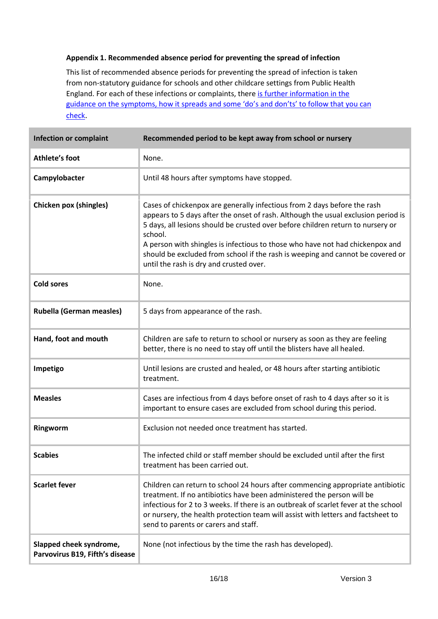# **Appendix 1. Recommended absence period for preventing the spread of infection**

This list of recommended absence periods for preventing the spread of infection is taken from non-statutory guidance for schools and other childcare settings from Public Health England. For each of these infections or complaints, there [is further information in the](https://www.gov.uk/government/publications/health-protection-in-schools-and-other-childcare-facilities/chapter-9-managing-specific-infectious-diseases)  guidance on the symptoms, how it spreads and so[me 'do's and don'ts' to follow that you can](https://www.gov.uk/government/publications/health-protection-in-schools-and-other-childcare-facilities/chapter-9-managing-specific-infectious-diseases)  [check](https://www.gov.uk/government/publications/health-protection-in-schools-and-other-childcare-facilities/chapter-9-managing-specific-infectious-diseases).

| <b>Infection or complaint</b>                              | Recommended period to be kept away from school or nursery                                                                                                                                                                                                                                                                                                                                                                                                                 |
|------------------------------------------------------------|---------------------------------------------------------------------------------------------------------------------------------------------------------------------------------------------------------------------------------------------------------------------------------------------------------------------------------------------------------------------------------------------------------------------------------------------------------------------------|
| <b>Athlete's foot</b>                                      | None.                                                                                                                                                                                                                                                                                                                                                                                                                                                                     |
| Campylobacter                                              | Until 48 hours after symptoms have stopped.                                                                                                                                                                                                                                                                                                                                                                                                                               |
| Chicken pox (shingles)                                     | Cases of chickenpox are generally infectious from 2 days before the rash<br>appears to 5 days after the onset of rash. Although the usual exclusion period is<br>5 days, all lesions should be crusted over before children return to nursery or<br>school.<br>A person with shingles is infectious to those who have not had chickenpox and<br>should be excluded from school if the rash is weeping and cannot be covered or<br>until the rash is dry and crusted over. |
| <b>Cold sores</b>                                          | None.                                                                                                                                                                                                                                                                                                                                                                                                                                                                     |
| <b>Rubella (German measles)</b>                            | 5 days from appearance of the rash.                                                                                                                                                                                                                                                                                                                                                                                                                                       |
| Hand, foot and mouth                                       | Children are safe to return to school or nursery as soon as they are feeling<br>better, there is no need to stay off until the blisters have all healed.                                                                                                                                                                                                                                                                                                                  |
| Impetigo                                                   | Until lesions are crusted and healed, or 48 hours after starting antibiotic<br>treatment.                                                                                                                                                                                                                                                                                                                                                                                 |
| <b>Measles</b>                                             | Cases are infectious from 4 days before onset of rash to 4 days after so it is<br>important to ensure cases are excluded from school during this period.                                                                                                                                                                                                                                                                                                                  |
| Ringworm                                                   | Exclusion not needed once treatment has started.                                                                                                                                                                                                                                                                                                                                                                                                                          |
| <b>Scabies</b>                                             | The infected child or staff member should be excluded until after the first<br>treatment has been carried out.                                                                                                                                                                                                                                                                                                                                                            |
| <b>Scarlet fever</b>                                       | Children can return to school 24 hours after commencing appropriate antibiotic<br>treatment. If no antibiotics have been administered the person will be<br>infectious for 2 to 3 weeks. If there is an outbreak of scarlet fever at the school<br>or nursery, the health protection team will assist with letters and factsheet to<br>send to parents or carers and staff.                                                                                               |
| Slapped cheek syndrome,<br>Parvovirus B19, Fifth's disease | None (not infectious by the time the rash has developed).                                                                                                                                                                                                                                                                                                                                                                                                                 |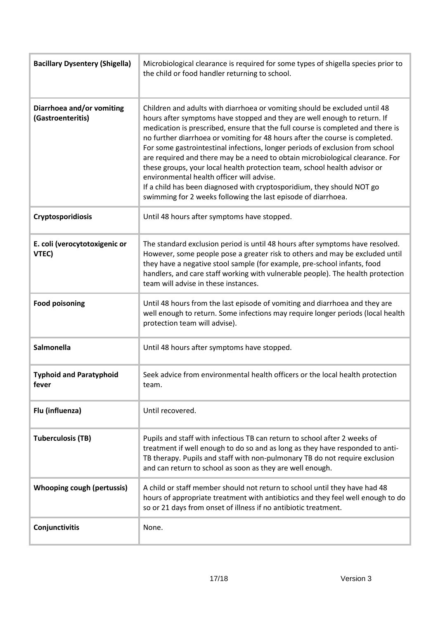| <b>Bacillary Dysentery (Shigella)</b>          | Microbiological clearance is required for some types of shigella species prior to<br>the child or food handler returning to school.                                                                                                                                                                                                                                                                                                                                                                                                                                                                                                                                                                                                                              |
|------------------------------------------------|------------------------------------------------------------------------------------------------------------------------------------------------------------------------------------------------------------------------------------------------------------------------------------------------------------------------------------------------------------------------------------------------------------------------------------------------------------------------------------------------------------------------------------------------------------------------------------------------------------------------------------------------------------------------------------------------------------------------------------------------------------------|
| Diarrhoea and/or vomiting<br>(Gastroenteritis) | Children and adults with diarrhoea or vomiting should be excluded until 48<br>hours after symptoms have stopped and they are well enough to return. If<br>medication is prescribed, ensure that the full course is completed and there is<br>no further diarrhoea or vomiting for 48 hours after the course is completed.<br>For some gastrointestinal infections, longer periods of exclusion from school<br>are required and there may be a need to obtain microbiological clearance. For<br>these groups, your local health protection team, school health advisor or<br>environmental health officer will advise.<br>If a child has been diagnosed with cryptosporidium, they should NOT go<br>swimming for 2 weeks following the last episode of diarrhoea. |
| <b>Cryptosporidiosis</b>                       | Until 48 hours after symptoms have stopped.                                                                                                                                                                                                                                                                                                                                                                                                                                                                                                                                                                                                                                                                                                                      |
| E. coli (verocytotoxigenic or<br>VTEC)         | The standard exclusion period is until 48 hours after symptoms have resolved.<br>However, some people pose a greater risk to others and may be excluded until<br>they have a negative stool sample (for example, pre-school infants, food<br>handlers, and care staff working with vulnerable people). The health protection<br>team will advise in these instances.                                                                                                                                                                                                                                                                                                                                                                                             |
| <b>Food poisoning</b>                          | Until 48 hours from the last episode of vomiting and diarrhoea and they are<br>well enough to return. Some infections may require longer periods (local health<br>protection team will advise).                                                                                                                                                                                                                                                                                                                                                                                                                                                                                                                                                                  |
| <b>Salmonella</b>                              | Until 48 hours after symptoms have stopped.                                                                                                                                                                                                                                                                                                                                                                                                                                                                                                                                                                                                                                                                                                                      |
| <b>Typhoid and Paratyphoid</b><br>fever        | Seek advice from environmental health officers or the local health protection<br>team.                                                                                                                                                                                                                                                                                                                                                                                                                                                                                                                                                                                                                                                                           |
| Flu (influenza)                                | Until recovered.                                                                                                                                                                                                                                                                                                                                                                                                                                                                                                                                                                                                                                                                                                                                                 |
| <b>Tuberculosis (TB)</b>                       | Pupils and staff with infectious TB can return to school after 2 weeks of<br>treatment if well enough to do so and as long as they have responded to anti-<br>TB therapy. Pupils and staff with non-pulmonary TB do not require exclusion<br>and can return to school as soon as they are well enough.                                                                                                                                                                                                                                                                                                                                                                                                                                                           |
| <b>Whooping cough (pertussis)</b>              | A child or staff member should not return to school until they have had 48<br>hours of appropriate treatment with antibiotics and they feel well enough to do<br>so or 21 days from onset of illness if no antibiotic treatment.                                                                                                                                                                                                                                                                                                                                                                                                                                                                                                                                 |
| Conjunctivitis                                 | None.                                                                                                                                                                                                                                                                                                                                                                                                                                                                                                                                                                                                                                                                                                                                                            |